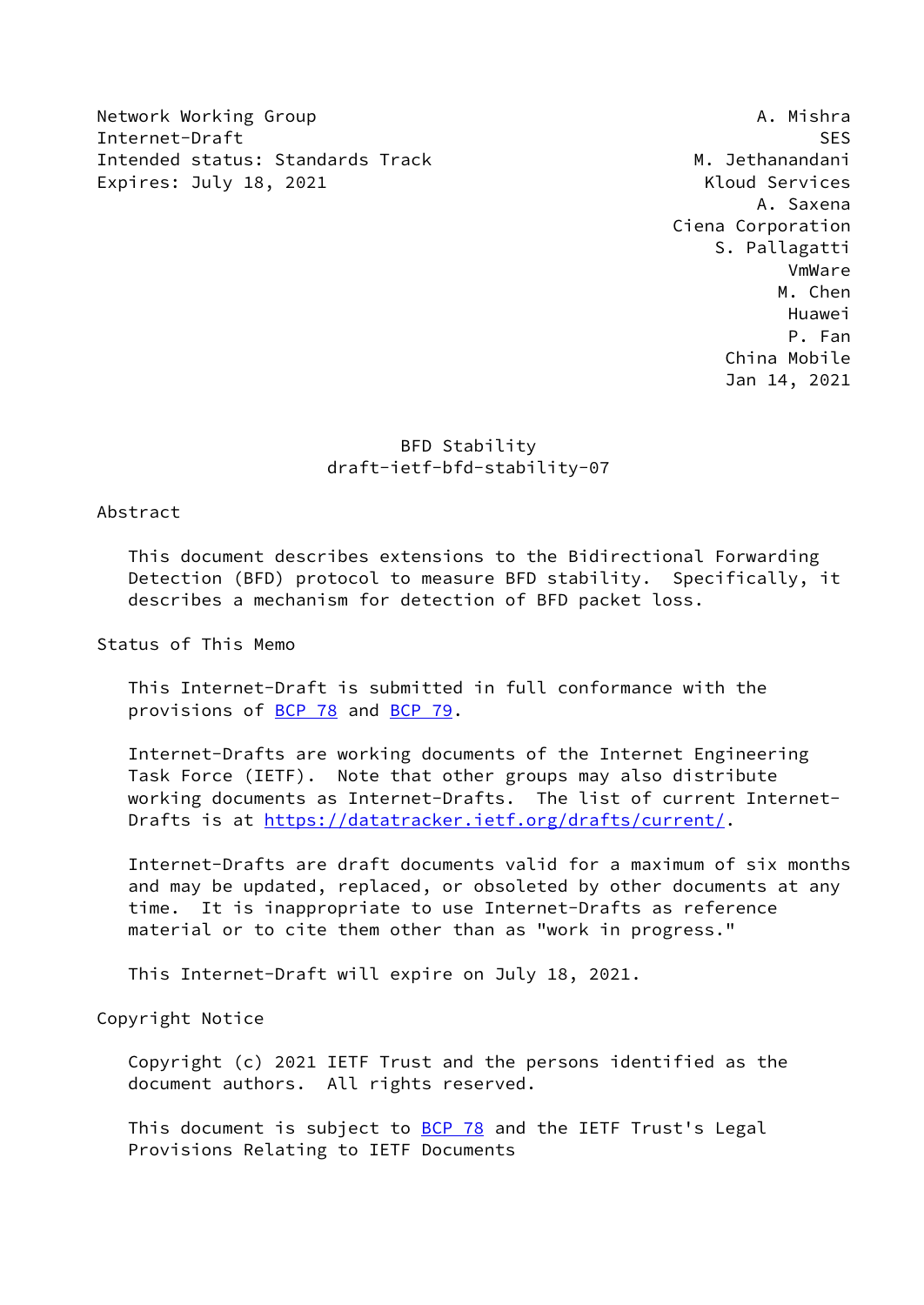Network Working Group **A. Mishra** Internet-Draft SES Intended status: Standards Track M. Jethanandani Expires: July 18, 2021 **Kloud Services** 

 A. Saxena Ciena Corporation S. Pallagatti VmWare M. Chen Huawei P. Fan China Mobile Jan 14, 2021

# BFD Stability draft-ietf-bfd-stability-07

# Abstract

 This document describes extensions to the Bidirectional Forwarding Detection (BFD) protocol to measure BFD stability. Specifically, it describes a mechanism for detection of BFD packet loss.

Status of This Memo

 This Internet-Draft is submitted in full conformance with the provisions of [BCP 78](https://datatracker.ietf.org/doc/pdf/bcp78) and [BCP 79](https://datatracker.ietf.org/doc/pdf/bcp79).

 Internet-Drafts are working documents of the Internet Engineering Task Force (IETF). Note that other groups may also distribute working documents as Internet-Drafts. The list of current Internet- Drafts is at<https://datatracker.ietf.org/drafts/current/>.

 Internet-Drafts are draft documents valid for a maximum of six months and may be updated, replaced, or obsoleted by other documents at any time. It is inappropriate to use Internet-Drafts as reference material or to cite them other than as "work in progress."

This Internet-Draft will expire on July 18, 2021.

Copyright Notice

 Copyright (c) 2021 IETF Trust and the persons identified as the document authors. All rights reserved.

This document is subject to **[BCP 78](https://datatracker.ietf.org/doc/pdf/bcp78)** and the IETF Trust's Legal Provisions Relating to IETF Documents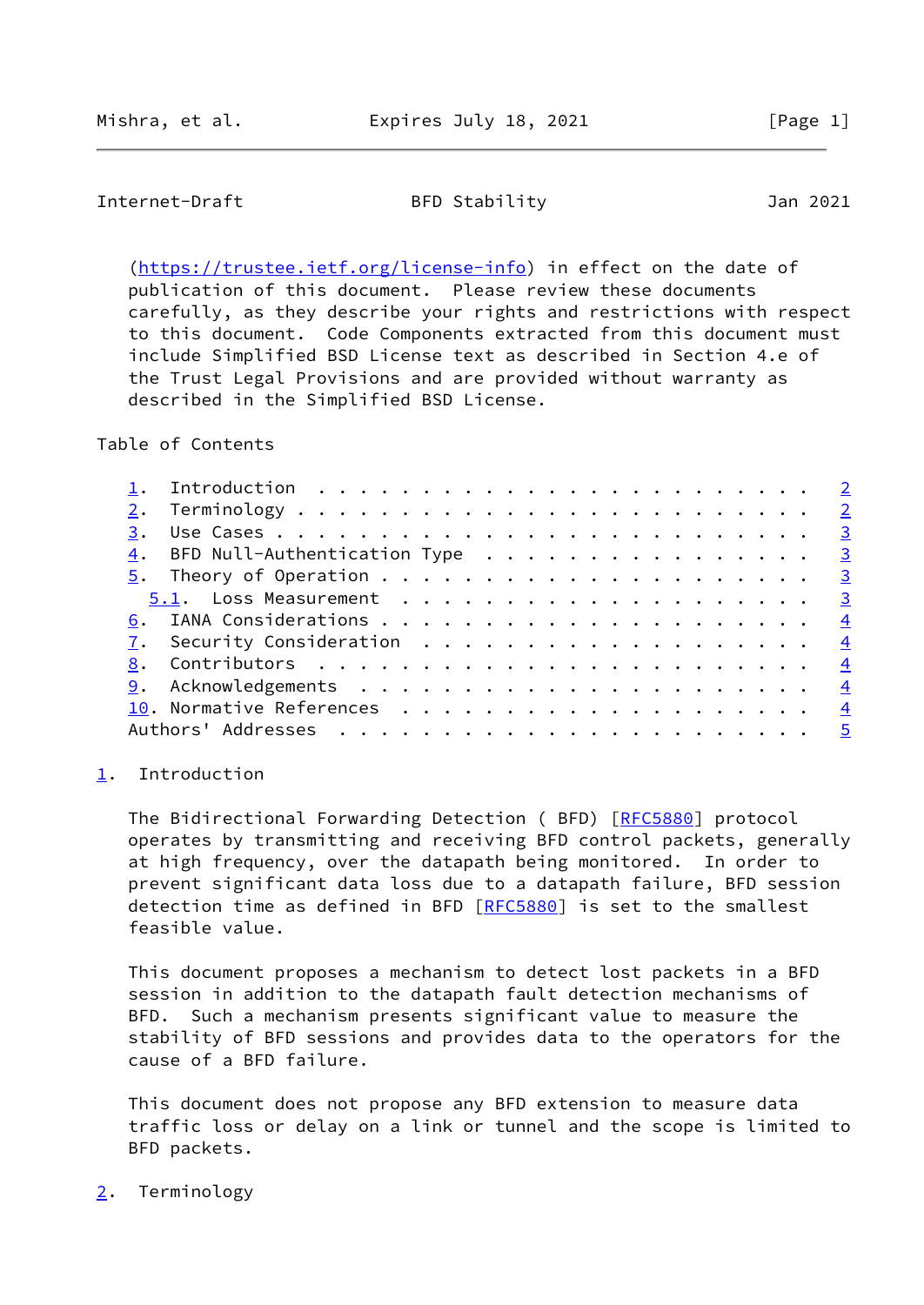## <span id="page-1-1"></span>Internet-Draft BFD Stability Jan 2021

 [\(https://trustee.ietf.org/license-info](https://trustee.ietf.org/license-info)) in effect on the date of publication of this document. Please review these documents carefully, as they describe your rights and restrictions with respect to this document. Code Components extracted from this document must include Simplified BSD License text as described in Section 4.e of the Trust Legal Provisions and are provided without warranty as described in the Simplified BSD License.

Table of Contents

|  |  |  |  |  |  |  |  |  |  |  |  | $\underline{4}$ . BFD Null-Authentication Type 3<br><u>7</u> . Security Consideration $\ldots \ldots \ldots \ldots \ldots \ldots \ldots$ |
|--|--|--|--|--|--|--|--|--|--|--|--|------------------------------------------------------------------------------------------------------------------------------------------|

#### <span id="page-1-0"></span>[1](#page-1-0). Introduction

The Bidirectional Forwarding Detection ( BFD) [[RFC5880](https://datatracker.ietf.org/doc/pdf/rfc5880)] protocol operates by transmitting and receiving BFD control packets, generally at high frequency, over the datapath being monitored. In order to prevent significant data loss due to a datapath failure, BFD session detection time as defined in BFD [\[RFC5880](https://datatracker.ietf.org/doc/pdf/rfc5880)] is set to the smallest feasible value.

 This document proposes a mechanism to detect lost packets in a BFD session in addition to the datapath fault detection mechanisms of BFD. Such a mechanism presents significant value to measure the stability of BFD sessions and provides data to the operators for the cause of a BFD failure.

 This document does not propose any BFD extension to measure data traffic loss or delay on a link or tunnel and the scope is limited to BFD packets.

#### <span id="page-1-2"></span>[2](#page-1-2). Terminology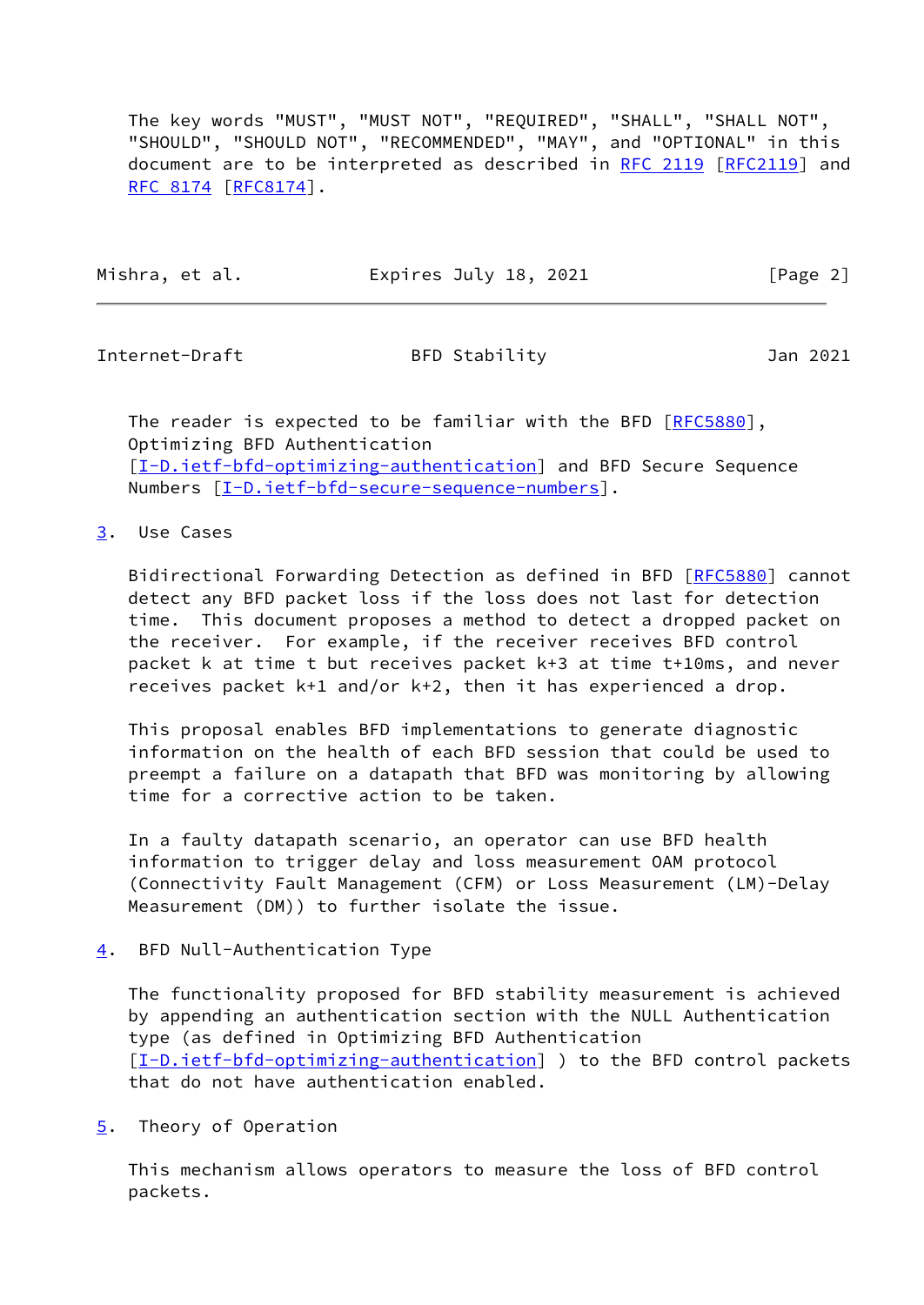The key words "MUST", "MUST NOT", "REQUIRED", "SHALL", "SHALL NOT", "SHOULD", "SHOULD NOT", "RECOMMENDED", "MAY", and "OPTIONAL" in this document are to be interpreted as described in [RFC 2119 \[RFC2119](https://datatracker.ietf.org/doc/pdf/rfc2119)] and [RFC 8174](https://datatracker.ietf.org/doc/pdf/rfc8174) [\[RFC8174](https://datatracker.ietf.org/doc/pdf/rfc8174)].

| Mishra, et al. | Expires July 18, 2021 | [Page 2] |
|----------------|-----------------------|----------|
|----------------|-----------------------|----------|

<span id="page-2-1"></span>Internet-Draft BFD Stability Jan 2021

The reader is expected to be familiar with the BFD [[RFC5880\]](https://datatracker.ietf.org/doc/pdf/rfc5880), Optimizing BFD Authentication [\[I-D.ietf-bfd-optimizing-authentication](#page-4-2)] and BFD Secure Sequence Numbers [\[I-D.ietf-bfd-secure-sequence-numbers](#page-4-3)].

### <span id="page-2-0"></span>[3](#page-2-0). Use Cases

Bidirectional Forwarding Detection as defined in BFD [\[RFC5880](https://datatracker.ietf.org/doc/pdf/rfc5880)] cannot detect any BFD packet loss if the loss does not last for detection time. This document proposes a method to detect a dropped packet on the receiver. For example, if the receiver receives BFD control packet k at time t but receives packet k+3 at time t+10ms, and never receives packet k+1 and/or k+2, then it has experienced a drop.

 This proposal enables BFD implementations to generate diagnostic information on the health of each BFD session that could be used to preempt a failure on a datapath that BFD was monitoring by allowing time for a corrective action to be taken.

 In a faulty datapath scenario, an operator can use BFD health information to trigger delay and loss measurement OAM protocol (Connectivity Fault Management (CFM) or Loss Measurement (LM)-Delay Measurement (DM)) to further isolate the issue.

### <span id="page-2-2"></span>[4](#page-2-2). BFD Null-Authentication Type

 The functionality proposed for BFD stability measurement is achieved by appending an authentication section with the NULL Authentication type (as defined in Optimizing BFD Authentication [\[I-D.ietf-bfd-optimizing-authentication](#page-4-2)] ) to the BFD control packets that do not have authentication enabled.

<span id="page-2-3"></span>[5](#page-2-3). Theory of Operation

 This mechanism allows operators to measure the loss of BFD control packets.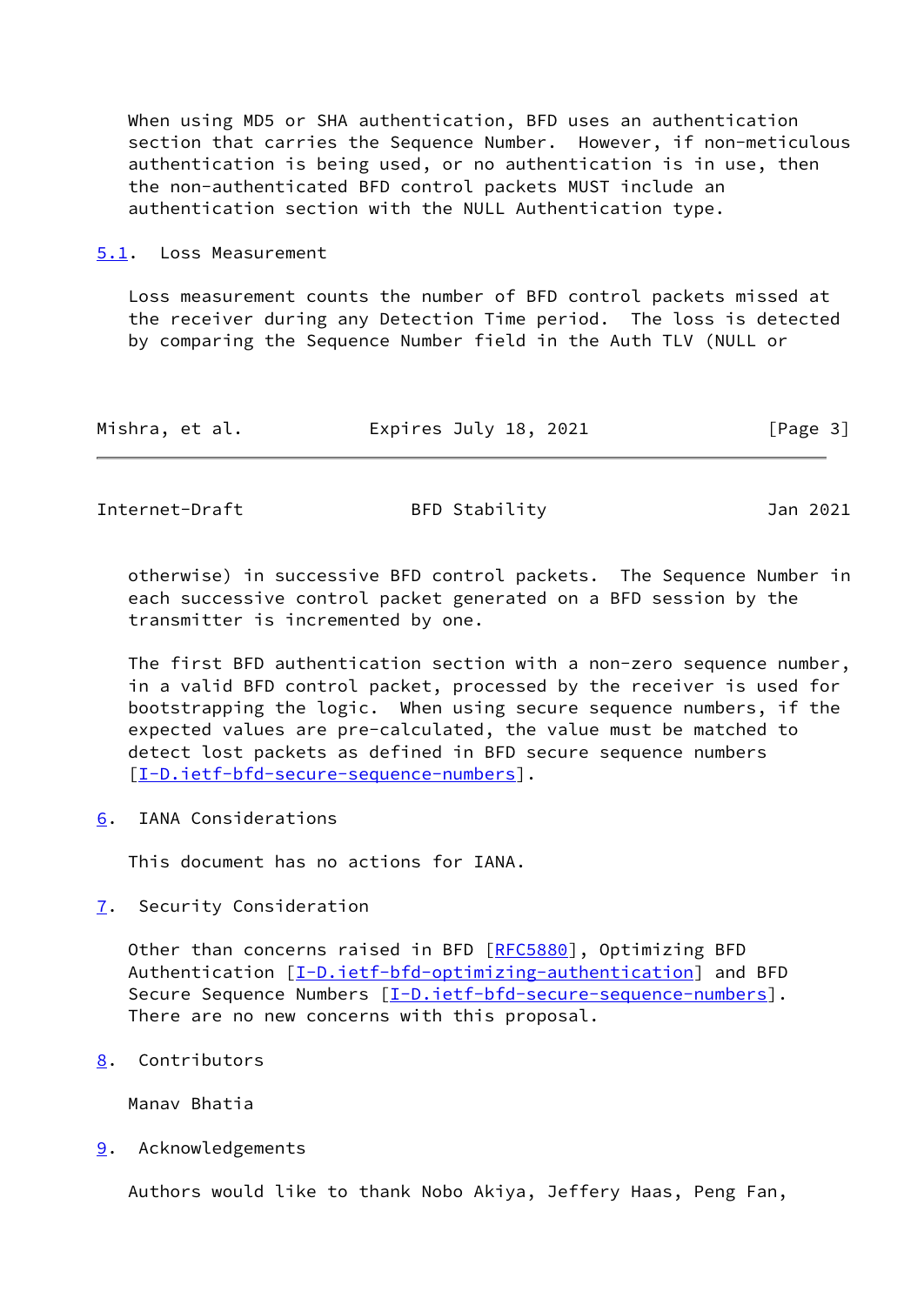When using MD5 or SHA authentication, BFD uses an authentication section that carries the Sequence Number. However, if non-meticulous authentication is being used, or no authentication is in use, then the non-authenticated BFD control packets MUST include an authentication section with the NULL Authentication type.

#### <span id="page-3-0"></span>[5.1](#page-3-0). Loss Measurement

 Loss measurement counts the number of BFD control packets missed at the receiver during any Detection Time period. The loss is detected by comparing the Sequence Number field in the Auth TLV (NULL or

| Mishra, et al.<br>Expires July 18, 2021 | [Page 3] |
|-----------------------------------------|----------|
|-----------------------------------------|----------|

<span id="page-3-2"></span>Internet-Draft BFD Stability Jan 2021

 otherwise) in successive BFD control packets. The Sequence Number in each successive control packet generated on a BFD session by the transmitter is incremented by one.

 The first BFD authentication section with a non-zero sequence number, in a valid BFD control packet, processed by the receiver is used for bootstrapping the logic. When using secure sequence numbers, if the expected values are pre-calculated, the value must be matched to detect lost packets as defined in BFD secure sequence numbers [\[I-D.ietf-bfd-secure-sequence-numbers](#page-4-3)].

<span id="page-3-1"></span>[6](#page-3-1). IANA Considerations

This document has no actions for IANA.

<span id="page-3-3"></span>[7](#page-3-3). Security Consideration

Other than concerns raised in BFD [[RFC5880](https://datatracker.ietf.org/doc/pdf/rfc5880)], Optimizing BFD Authentication  $[I-D.ietf-bfd-optimizing-authentication]$  $[I-D.ietf-bfd-optimizing-authentication]$  and BFD Secure Sequence Numbers  $[I-D.iett-bfd-secure-sequence-numbers]$ . There are no new concerns with this proposal.

<span id="page-3-4"></span>[8](#page-3-4). Contributors

Manav Bhatia

<span id="page-3-5"></span>[9](#page-3-5). Acknowledgements

Authors would like to thank Nobo Akiya, Jeffery Haas, Peng Fan,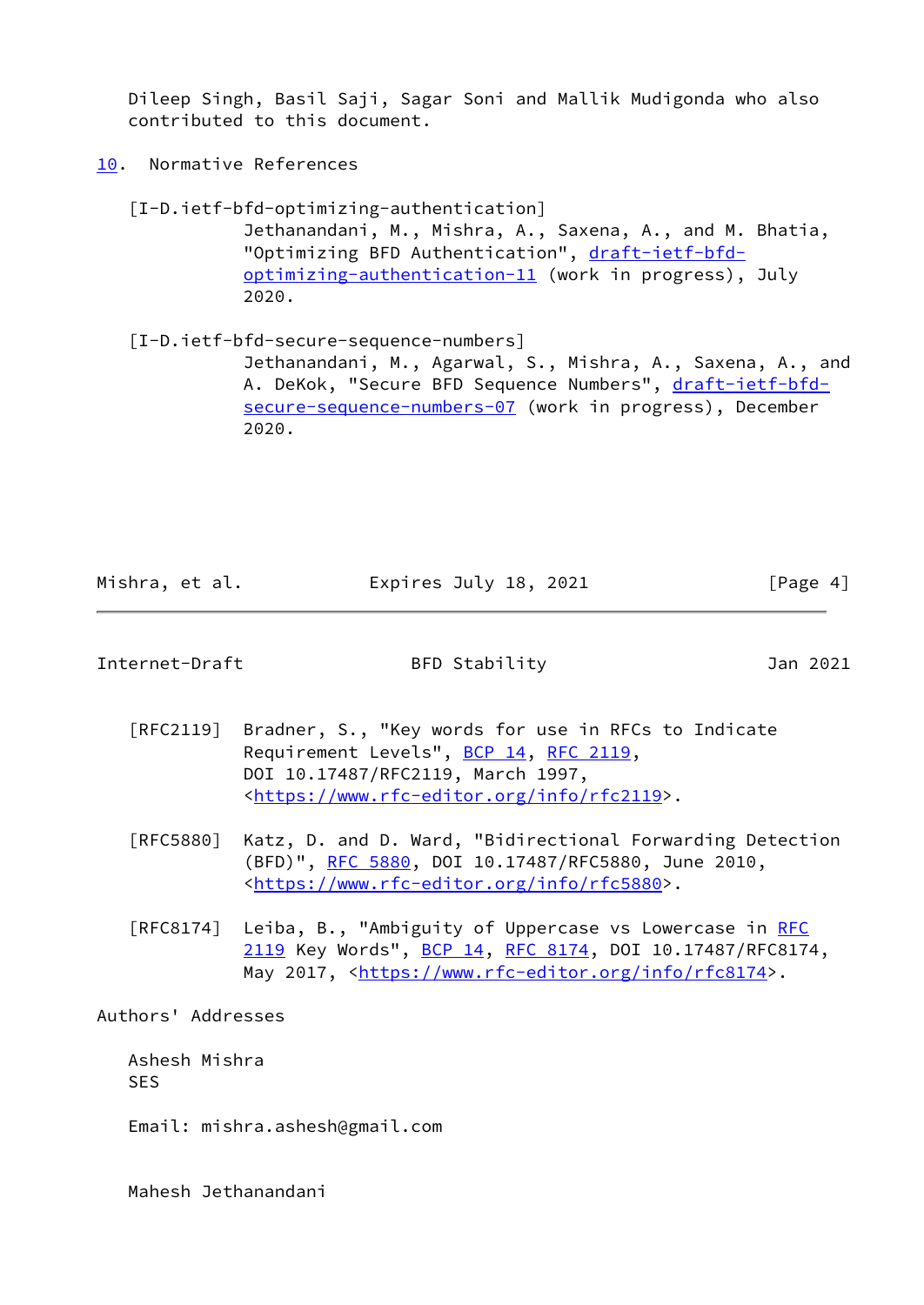Dileep Singh, Basil Saji, Sagar Soni and Mallik Mudigonda who also contributed to this document.

<span id="page-4-0"></span>[10.](#page-4-0) Normative References

<span id="page-4-2"></span> [I-D.ietf-bfd-optimizing-authentication] Jethanandani, M., Mishra, A., Saxena, A., and M. Bhatia, "Optimizing BFD Authentication", [draft-ietf-bfd](https://datatracker.ietf.org/doc/pdf/draft-ietf-bfd-optimizing-authentication-11) [optimizing-authentication-11](https://datatracker.ietf.org/doc/pdf/draft-ietf-bfd-optimizing-authentication-11) (work in progress), July 2020.

<span id="page-4-3"></span> [I-D.ietf-bfd-secure-sequence-numbers] Jethanandani, M., Agarwal, S., Mishra, A., Saxena, A., and A. DeKok, "Secure BFD Sequence Numbers", [draft-ietf-bfd](https://datatracker.ietf.org/doc/pdf/draft-ietf-bfd-secure-sequence-numbers-07) [secure-sequence-numbers-07](https://datatracker.ietf.org/doc/pdf/draft-ietf-bfd-secure-sequence-numbers-07) (work in progress), December 2020.

Mishra, et al. **Expires July 18, 2021** [Page 4]

<span id="page-4-1"></span>Internet-Draft BFD Stability Jan 2021

- [RFC2119] Bradner, S., "Key words for use in RFCs to Indicate Requirement Levels", [BCP 14](https://datatracker.ietf.org/doc/pdf/bcp14), [RFC 2119](https://datatracker.ietf.org/doc/pdf/rfc2119), DOI 10.17487/RFC2119, March 1997, <[https://www.rfc-editor.org/info/rfc2119>](https://www.rfc-editor.org/info/rfc2119).
- [RFC5880] Katz, D. and D. Ward, "Bidirectional Forwarding Detection (BFD)", [RFC 5880,](https://datatracker.ietf.org/doc/pdf/rfc5880) DOI 10.17487/RFC5880, June 2010, <[https://www.rfc-editor.org/info/rfc5880>](https://www.rfc-editor.org/info/rfc5880).
- [RFC8174] Leiba, B., "Ambiguity of Uppercase vs Lowercase in [RFC](https://datatracker.ietf.org/doc/pdf/rfc2119) [2119](https://datatracker.ietf.org/doc/pdf/rfc2119) Key Words", [BCP 14](https://datatracker.ietf.org/doc/pdf/bcp14), [RFC 8174,](https://datatracker.ietf.org/doc/pdf/rfc8174) DOI 10.17487/RFC8174, May 2017, [<https://www.rfc-editor.org/info/rfc8174](https://www.rfc-editor.org/info/rfc8174)>.

Authors' Addresses

 Ashesh Mishra SES

Email: mishra.ashesh@gmail.com

Mahesh Jethanandani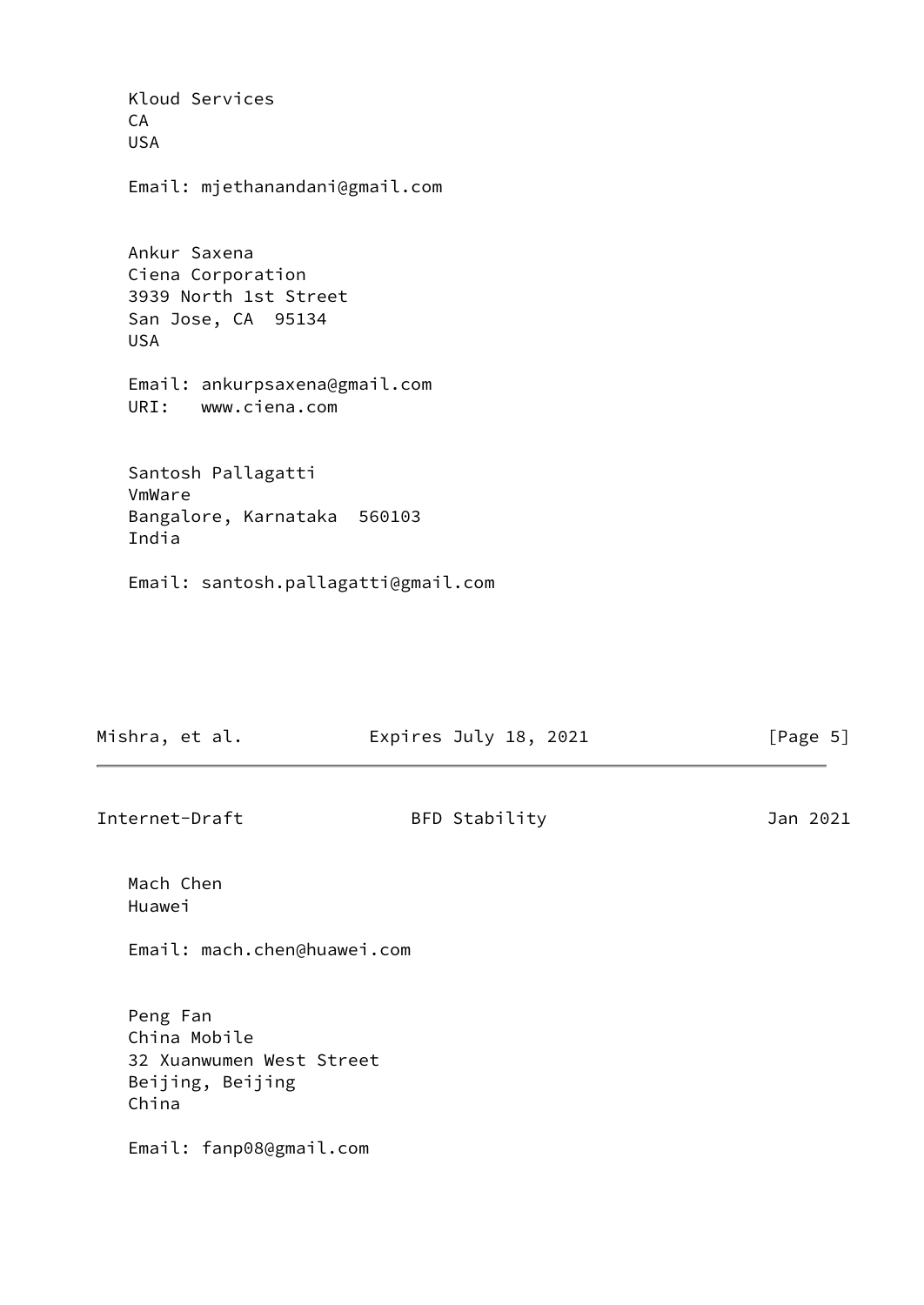Kloud Services CA USA Email: mjethanandani@gmail.com Ankur Saxena Ciena Corporation 3939 North 1st Street San Jose, CA 95134 USA Email: ankurpsaxena@gmail.com URI: www.ciena.com Santosh Pallagatti VmWare Bangalore, Karnataka 560103 India Email: santosh.pallagatti@gmail.com

| Mishra, et al.<br>Expires July 18, 2021 | [Page 5] |
|-----------------------------------------|----------|
|-----------------------------------------|----------|

Internet-Draft BFD Stability Jan 2021

 Mach Chen Huawei

Email: mach.chen@huawei.com

 Peng Fan China Mobile 32 Xuanwumen West Street Beijing, Beijing China

Email: fanp08@gmail.com